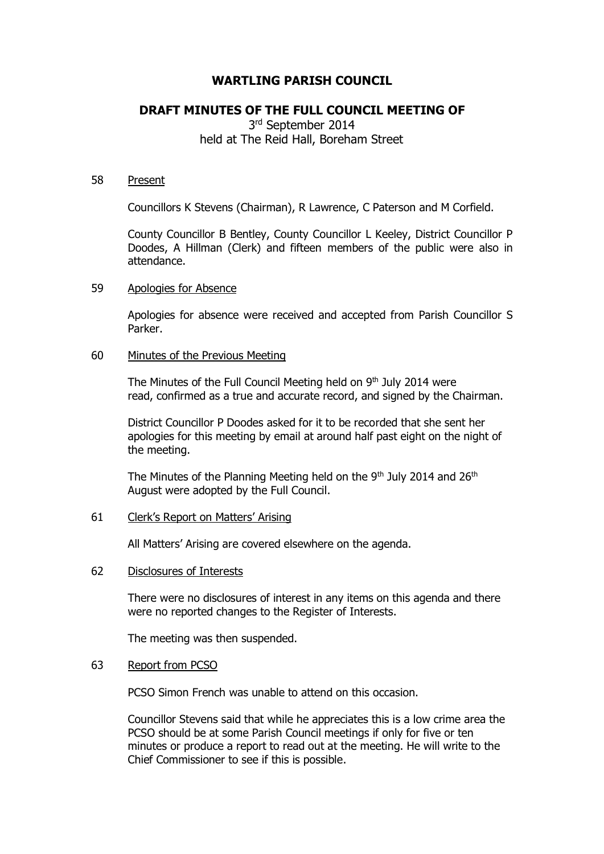# **WARTLING PARISH COUNCIL**

# **DRAFT MINUTES OF THE FULL COUNCIL MEETING OF**

3<sup>rd</sup> September 2014 held at The Reid Hall, Boreham Street

#### 58 Present

Councillors K Stevens (Chairman), R Lawrence, C Paterson and M Corfield.

County Councillor B Bentley, County Councillor L Keeley, District Councillor P Doodes, A Hillman (Clerk) and fifteen members of the public were also in attendance.

#### 59 Apologies for Absence

Apologies for absence were received and accepted from Parish Councillor S Parker.

#### 60 Minutes of the Previous Meeting

The Minutes of the Full Council Meeting held on  $9<sup>th</sup>$  July 2014 were read, confirmed as a true and accurate record, and signed by the Chairman.

District Councillor P Doodes asked for it to be recorded that she sent her apologies for this meeting by email at around half past eight on the night of the meeting.

The Minutes of the Planning Meeting held on the  $9<sup>th</sup>$  July 2014 and 26<sup>th</sup> August were adopted by the Full Council.

### 61 Clerk's Report on Matters' Arising

All Matters' Arising are covered elsewhere on the agenda.

# 62 Disclosures of Interests

There were no disclosures of interest in any items on this agenda and there were no reported changes to the Register of Interests.

The meeting was then suspended.

# 63 Report from PCSO

PCSO Simon French was unable to attend on this occasion.

Councillor Stevens said that while he appreciates this is a low crime area the PCSO should be at some Parish Council meetings if only for five or ten minutes or produce a report to read out at the meeting. He will write to the Chief Commissioner to see if this is possible.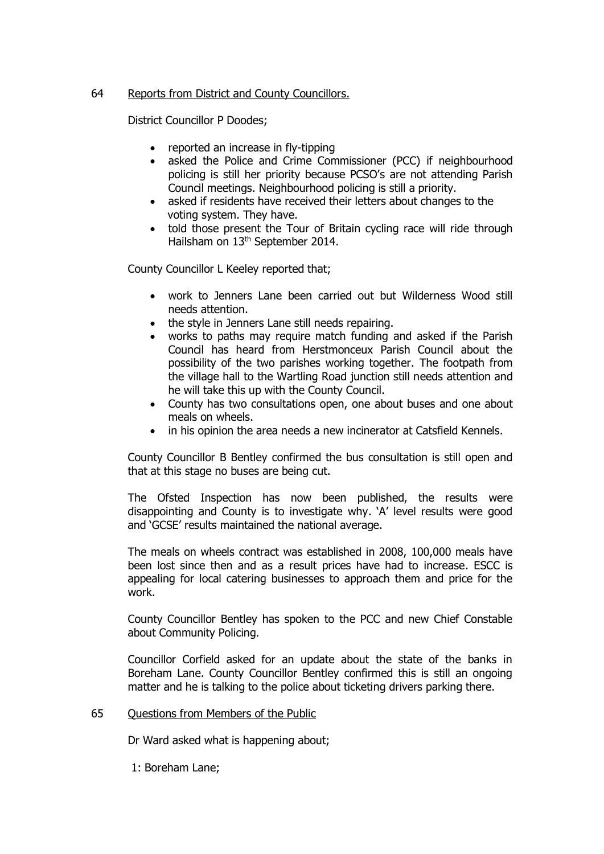# 64 Reports from District and County Councillors.

District Councillor P Doodes;

- reported an increase in fly-tipping
- asked the Police and Crime Commissioner (PCC) if neighbourhood policing is still her priority because PCSO's are not attending Parish Council meetings. Neighbourhood policing is still a priority.
- asked if residents have received their letters about changes to the voting system. They have.
- told those present the Tour of Britain cycling race will ride through Hailsham on 13th September 2014.

County Councillor L Keeley reported that;

- work to Jenners Lane been carried out but Wilderness Wood still needs attention.
- the style in Jenners Lane still needs repairing.
- works to paths may require match funding and asked if the Parish Council has heard from Herstmonceux Parish Council about the possibility of the two parishes working together. The footpath from the village hall to the Wartling Road junction still needs attention and he will take this up with the County Council.
- County has two consultations open, one about buses and one about meals on wheels.
- in his opinion the area needs a new incinerator at Catsfield Kennels.

County Councillor B Bentley confirmed the bus consultation is still open and that at this stage no buses are being cut.

The Ofsted Inspection has now been published, the results were disappointing and County is to investigate why. 'A' level results were good and 'GCSE' results maintained the national average.

The meals on wheels contract was established in 2008, 100,000 meals have been lost since then and as a result prices have had to increase. ESCC is appealing for local catering businesses to approach them and price for the work.

County Councillor Bentley has spoken to the PCC and new Chief Constable about Community Policing.

Councillor Corfield asked for an update about the state of the banks in Boreham Lane. County Councillor Bentley confirmed this is still an ongoing matter and he is talking to the police about ticketing drivers parking there.

# 65 Questions from Members of the Public

Dr Ward asked what is happening about;

1: Boreham Lane;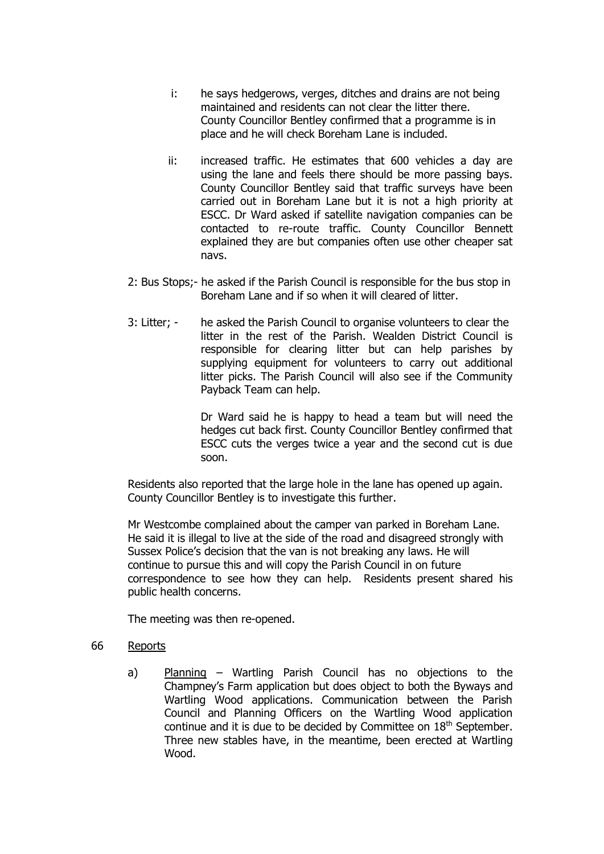- i: he says hedgerows, verges, ditches and drains are not being maintained and residents can not clear the litter there. County Councillor Bentley confirmed that a programme is in place and he will check Boreham Lane is included.
- ii: increased traffic. He estimates that 600 vehicles a day are using the lane and feels there should be more passing bays. County Councillor Bentley said that traffic surveys have been carried out in Boreham Lane but it is not a high priority at ESCC. Dr Ward asked if satellite navigation companies can be contacted to re-route traffic. County Councillor Bennett explained they are but companies often use other cheaper sat navs.
- 2: Bus Stops;- he asked if the Parish Council is responsible for the bus stop in Boreham Lane and if so when it will cleared of litter.
- 3: Litter; he asked the Parish Council to organise volunteers to clear the litter in the rest of the Parish. Wealden District Council is responsible for clearing litter but can help parishes by supplying equipment for volunteers to carry out additional litter picks. The Parish Council will also see if the Community Payback Team can help.

Dr Ward said he is happy to head a team but will need the hedges cut back first. County Councillor Bentley confirmed that ESCC cuts the verges twice a year and the second cut is due soon.

Residents also reported that the large hole in the lane has opened up again. County Councillor Bentley is to investigate this further.

Mr Westcombe complained about the camper van parked in Boreham Lane. He said it is illegal to live at the side of the road and disagreed strongly with Sussex Police's decision that the van is not breaking any laws. He will continue to pursue this and will copy the Parish Council in on future correspondence to see how they can help. Residents present shared his public health concerns.

The meeting was then re-opened.

# 66 Reports

a) Planning – Wartling Parish Council has no objections to the Champney's Farm application but does object to both the Byways and Wartling Wood applications. Communication between the Parish Council and Planning Officers on the Wartling Wood application continue and it is due to be decided by Committee on 18<sup>th</sup> September. Three new stables have, in the meantime, been erected at Wartling Wood.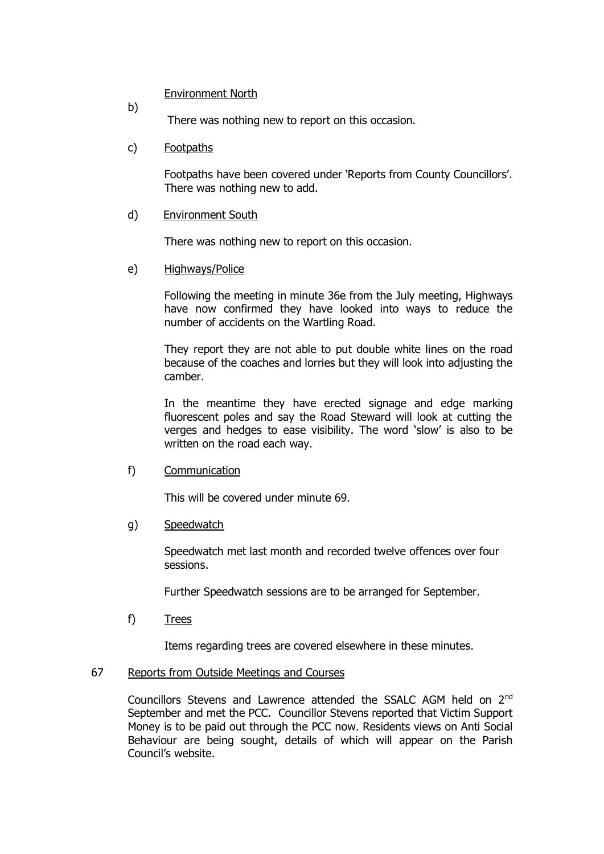### Environment North

b)

There was nothing new to report on this occasion.

# c) Footpaths

Footpaths have been covered under 'Reports from County Councillors'. There was nothing new to add.

### d) Environment South

There was nothing new to report on this occasion.

### e) Highways/Police

Following the meeting in minute 36e from the July meeting, Highways have now confirmed they have looked into ways to reduce the number of accidents on the Wartling Road.

They report they are not able to put double white lines on the road because of the coaches and lorries but they will look into adjusting the camber.

In the meantime they have erected signage and edge marking fluorescent poles and say the Road Steward will look at cutting the verges and hedges to ease visibility. The word 'slow' is also to be written on the road each way.

f) Communication

This will be covered under minute 69.

g) Speedwatch

Speedwatch met last month and recorded twelve offences over four sessions.

Further Speedwatch sessions are to be arranged for September.

f) Trees

Items regarding trees are covered elsewhere in these minutes.

# 67 Reports from Outside Meetings and Courses

Councillors Stevens and Lawrence attended the SSALC AGM held on 2nd September and met the PCC. Councillor Stevens reported that Victim Support Money is to be paid out through the PCC now. Residents views on Anti Social Behaviour are being sought, details of which will appear on the Parish Council's website.